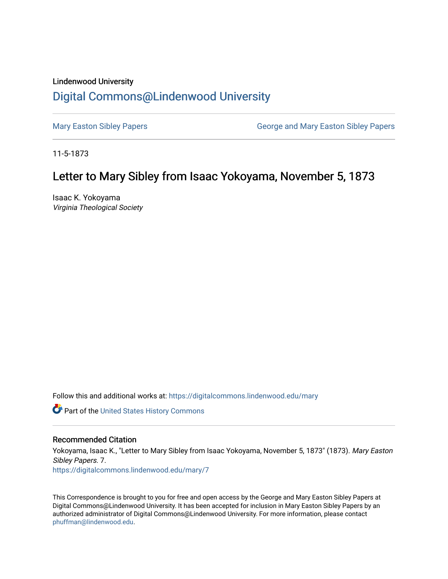## Lindenwood University [Digital Commons@Lindenwood University](https://digitalcommons.lindenwood.edu/)

[Mary Easton Sibley Papers](https://digitalcommons.lindenwood.edu/mary) **George and Mary Easton Sibley Papers** George and Mary Easton Sibley Papers

11-5-1873

## Letter to Mary Sibley from Isaac Yokoyama, November 5, 1873

Isaac K. Yokoyama Virginia Theological Society

Follow this and additional works at: [https://digitalcommons.lindenwood.edu/mary](https://digitalcommons.lindenwood.edu/mary?utm_source=digitalcommons.lindenwood.edu%2Fmary%2F7&utm_medium=PDF&utm_campaign=PDFCoverPages) 

Part of the [United States History Commons](http://network.bepress.com/hgg/discipline/495?utm_source=digitalcommons.lindenwood.edu%2Fmary%2F7&utm_medium=PDF&utm_campaign=PDFCoverPages) 

## Recommended Citation

Yokoyama, Isaac K., "Letter to Mary Sibley from Isaac Yokoyama, November 5, 1873" (1873). Mary Easton Sibley Papers. 7. [https://digitalcommons.lindenwood.edu/mary/7](https://digitalcommons.lindenwood.edu/mary/7?utm_source=digitalcommons.lindenwood.edu%2Fmary%2F7&utm_medium=PDF&utm_campaign=PDFCoverPages) 

This Correspondence is brought to you for free and open access by the George and Mary Easton Sibley Papers at Digital Commons@Lindenwood University. It has been accepted for inclusion in Mary Easton Sibley Papers by an authorized administrator of Digital Commons@Lindenwood University. For more information, please contact [phuffman@lindenwood.edu](mailto:phuffman@lindenwood.edu).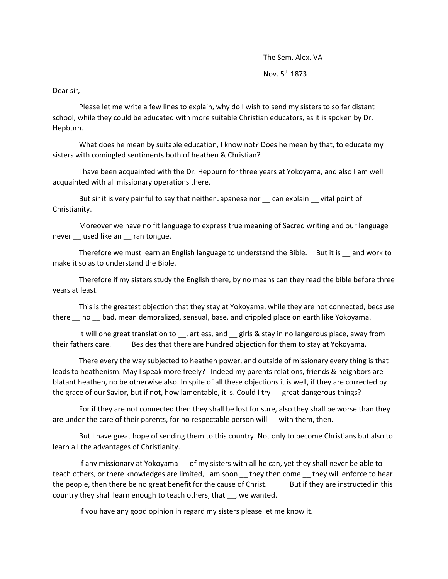The Sem. Alex. VA Nov. 5th 1873

Dear sir,

Please let me write a few lines to explain, why do I wish to send my sisters to so far distant school, while they could be educated with more suitable Christian educators, as it is spoken by Dr. Hepburn.

What does he mean by suitable education, I know not? Does he mean by that, to educate my sisters with comingled sentiments both of heathen & Christian?

I have been acquainted with the Dr. Hepburn for three years at Yokoyama, and also I am well acquainted with all missionary operations there.

But sir it is very painful to say that neither Japanese nor can explain vital point of Christianity.

Moreover we have no fit language to express true meaning of Sacred writing and our language never \_\_ used like an \_\_ ran tongue.

Therefore we must learn an English language to understand the Bible. But it is eand work to make it so as to understand the Bible.

Therefore if my sisters study the English there, by no means can they read the bible before three years at least.

This is the greatest objection that they stay at Yokoyama, while they are not connected, because there  $\mu$  no  $\mu$  bad, mean demoralized, sensual, base, and crippled place on earth like Yokoyama.

It will one great translation to \_\_, artless, and \_\_ girls & stay in no langerous place, away from their fathers care. Besides that there are hundred objection for them to stay at Yokoyama.

There every the way subjected to heathen power, and outside of missionary every thing is that leads to heathenism. May I speak more freely? Indeed my parents relations, friends & neighbors are blatant heathen, no be otherwise also. In spite of all these objections it is well, if they are corrected by the grace of our Savior, but if not, how lamentable, it is. Could I try great dangerous things?

For if they are not connected then they shall be lost for sure, also they shall be worse than they are under the care of their parents, for no respectable person will \_\_ with them, then.

But I have great hope of sending them to this country. Not only to become Christians but also to learn all the advantages of Christianity.

If any missionary at Yokoyama \_\_ of my sisters with all he can, yet they shall never be able to teach others, or there knowledges are limited, I am soon \_\_ they then come \_\_ they will enforce to hear the people, then there be no great benefit for the cause of Christ. But if they are instructed in this country they shall learn enough to teach others, that , we wanted.

If you have any good opinion in regard my sisters please let me know it.